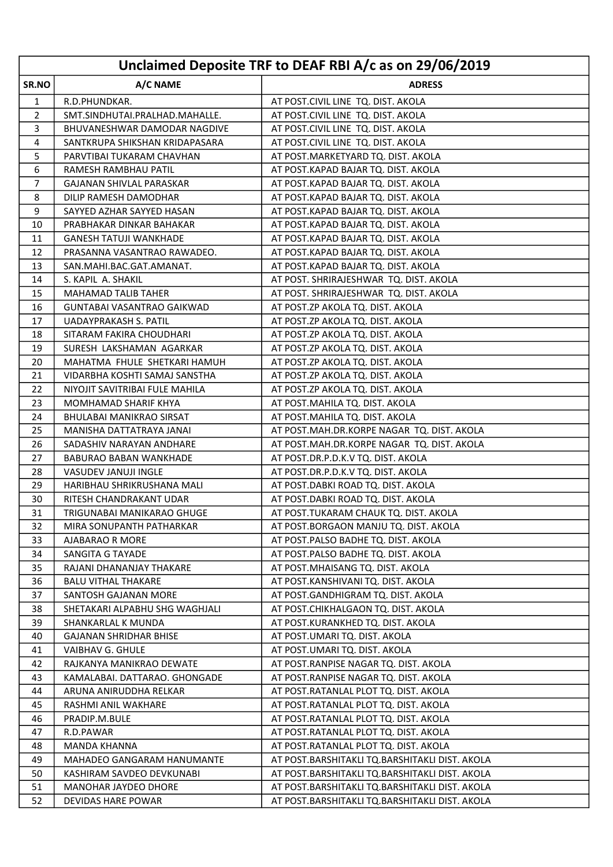|                | Unclaimed Deposite TRF to DEAF RBI A/c as on 29/06/2019 |                                                |  |
|----------------|---------------------------------------------------------|------------------------------------------------|--|
| SR.NO          | A/C NAME                                                | <b>ADRESS</b>                                  |  |
| 1              | R.D.PHUNDKAR.                                           | AT POST.CIVIL LINE TQ. DIST. AKOLA             |  |
| 2              | SMT.SINDHUTAI.PRALHAD.MAHALLE.                          | AT POST.CIVIL LINE TQ. DIST. AKOLA             |  |
| 3              | BHUVANESHWAR DAMODAR NAGDIVE                            | AT POST.CIVIL LINE TQ. DIST. AKOLA             |  |
| 4              | SANTKRUPA SHIKSHAN KRIDAPASARA                          | AT POST.CIVIL LINE TQ. DIST. AKOLA             |  |
| 5              | PARVTIBAI TUKARAM CHAVHAN                               | AT POST.MARKETYARD TQ. DIST. AKOLA             |  |
| 6              | RAMESH RAMBHAU PATIL                                    | AT POST.KAPAD BAJAR TQ. DIST. AKOLA            |  |
| $\overline{7}$ | <b>GAJANAN SHIVLAL PARASKAR</b>                         | AT POST.KAPAD BAJAR TQ. DIST. AKOLA            |  |
| 8              | DILIP RAMESH DAMODHAR                                   | AT POST.KAPAD BAJAR TQ. DIST. AKOLA            |  |
| 9              | SAYYED AZHAR SAYYED HASAN                               | AT POST.KAPAD BAJAR TQ. DIST. AKOLA            |  |
| 10             | PRABHAKAR DINKAR BAHAKAR                                | AT POST.KAPAD BAJAR TQ. DIST. AKOLA            |  |
| 11             | <b>GANESH TATUJI WANKHADE</b>                           | AT POST.KAPAD BAJAR TQ. DIST. AKOLA            |  |
| 12             | PRASANNA VASANTRAO RAWADEO.                             | AT POST.KAPAD BAJAR TQ. DIST. AKOLA            |  |
| 13             | SAN.MAHI.BAC.GAT.AMANAT.                                | AT POST.KAPAD BAJAR TQ. DIST. AKOLA            |  |
| 14             | S. KAPIL A. SHAKIL                                      | AT POST. SHRIRAJESHWAR TQ. DIST. AKOLA         |  |
| 15             | <b>MAHAMAD TALIB TAHER</b>                              | AT POST. SHRIRAJESHWAR TQ. DIST. AKOLA         |  |
| 16             | <b>GUNTABAI VASANTRAO GAIKWAD</b>                       | AT POST.ZP AKOLA TQ. DIST. AKOLA               |  |
| 17             | <b>UADAYPRAKASH S. PATIL</b>                            | AT POST.ZP AKOLA TQ. DIST. AKOLA               |  |
| 18             | SITARAM FAKIRA CHOUDHARI                                | AT POST.ZP AKOLA TQ. DIST. AKOLA               |  |
| 19             | SURESH LAKSHAMAN AGARKAR                                | AT POST.ZP AKOLA TQ. DIST. AKOLA               |  |
| 20             | MAHATMA FHULE SHETKARI HAMUH                            | AT POST.ZP AKOLA TQ. DIST. AKOLA               |  |
| 21             | VIDARBHA KOSHTI SAMAJ SANSTHA                           | AT POST.ZP AKOLA TQ. DIST. AKOLA               |  |
| 22             | NIYOJIT SAVITRIBAI FULE MAHILA                          | AT POST.ZP AKOLA TQ. DIST. AKOLA               |  |
| 23             | MOMHAMAD SHARIF KHYA                                    | AT POST. MAHILA TQ. DIST. AKOLA                |  |
| 24             | BHULABAI MANIKRAO SIRSAT                                | AT POST.MAHILA TQ. DIST. AKOLA                 |  |
| 25             | MANISHA DATTATRAYA JANAI                                | AT POST.MAH.DR.KORPE NAGAR TQ. DIST. AKOLA     |  |
| 26             | SADASHIV NARAYAN ANDHARE                                | AT POST.MAH.DR.KORPE NAGAR TQ. DIST. AKOLA     |  |
| 27             | <b>BABURAO BABAN WANKHADE</b>                           | AT POST.DR.P.D.K.V TQ. DIST. AKOLA             |  |
| 28             | VASUDEV JANUJI INGLE                                    | AT POST.DR.P.D.K.V TQ. DIST. AKOLA             |  |
| 29             | HARIBHAU SHRIKRUSHANA MALI                              | AT POST.DABKI ROAD TQ. DIST. AKOLA             |  |
| 30             | RITESH CHANDRAKANT UDAR                                 | AT POST.DABKI ROAD TQ. DIST. AKOLA             |  |
| 31             | <b>TRIGUNABAI MANIKARAO GHUGE</b>                       | AT POST. TUKARAM CHAUK TQ. DIST. AKOLA         |  |
| 32             | MIRA SONUPANTH PATHARKAR                                | AT POST.BORGAON MANJU TQ. DIST. AKOLA          |  |
| 33             | <b>AJABARAO R MORE</b>                                  | AT POST.PALSO BADHE TQ. DIST. AKOLA            |  |
| 34             | SANGITA G TAYADE                                        | AT POST.PALSO BADHE TQ. DIST. AKOLA            |  |
| 35             | RAJANI DHANANJAY THAKARE                                | AT POST.MHAISANG TQ. DIST. AKOLA               |  |
| 36             | <b>BALU VITHAL THAKARE</b>                              | AT POST.KANSHIVANI TQ. DIST. AKOLA             |  |
| 37             | SANTOSH GAJANAN MORE                                    | AT POST.GANDHIGRAM TQ. DIST. AKOLA             |  |
| 38             | SHETAKARI ALPABHU SHG WAGHJALI                          | AT POST.CHIKHALGAON TQ. DIST. AKOLA            |  |
| 39             | SHANKARLAL K MUNDA                                      | AT POST.KURANKHED TQ. DIST. AKOLA              |  |
| 40             | <b>GAJANAN SHRIDHAR BHISE</b>                           | AT POST.UMARI TQ. DIST. AKOLA                  |  |
| 41             | <b>VAIBHAV G. GHULE</b>                                 | AT POST.UMARI TQ. DIST. AKOLA                  |  |
| 42             | RAJKANYA MANIKRAO DEWATE                                | AT POST.RANPISE NAGAR TQ. DIST. AKOLA          |  |
| 43             | KAMALABAI. DATTARAO. GHONGADE                           | AT POST.RANPISE NAGAR TQ. DIST. AKOLA          |  |
| 44             | ARUNA ANIRUDDHA RELKAR                                  | AT POST.RATANLAL PLOT TQ. DIST. AKOLA          |  |
| 45             | RASHMI ANIL WAKHARE                                     | AT POST.RATANLAL PLOT TQ. DIST. AKOLA          |  |
| 46             | PRADIP.M.BULE                                           | AT POST.RATANLAL PLOT TQ. DIST. AKOLA          |  |
| 47             | R.D.PAWAR                                               | AT POST.RATANLAL PLOT TQ. DIST. AKOLA          |  |
| 48             | <b>MANDA KHANNA</b>                                     | AT POST.RATANLAL PLOT TQ. DIST. AKOLA          |  |
| 49             | <b>MAHADEO GANGARAM HANUMANTE</b>                       | AT POST.BARSHITAKLI TQ.BARSHITAKLI DIST. AKOLA |  |
| 50             | KASHIRAM SAVDEO DEVKUNABI                               | AT POST.BARSHITAKLI TQ.BARSHITAKLI DIST. AKOLA |  |
| 51             | <b>MANOHAR JAYDEO DHORE</b>                             | AT POST.BARSHITAKLI TQ.BARSHITAKLI DIST. AKOLA |  |
| 52             | DEVIDAS HARE POWAR                                      | AT POST.BARSHITAKLI TQ.BARSHITAKLI DIST. AKOLA |  |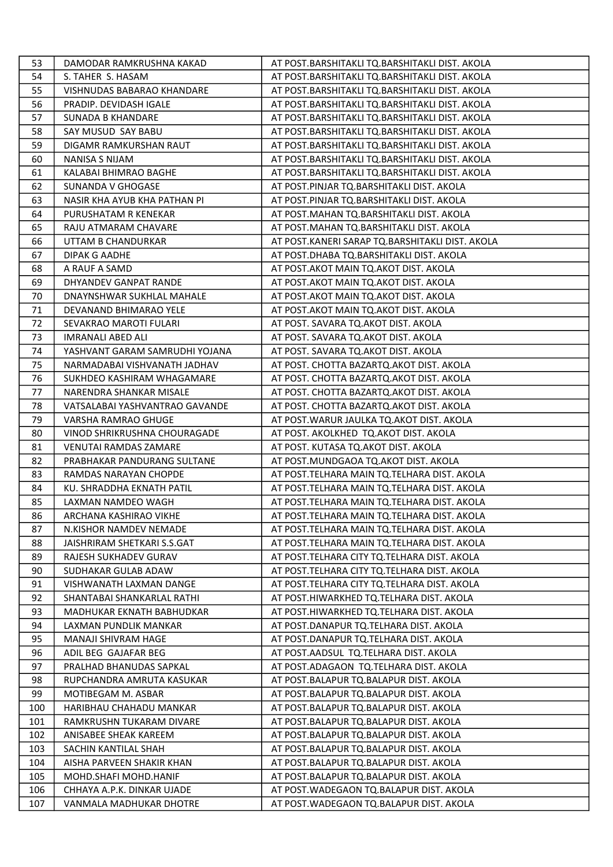| 53  | DAMODAR RAMKRUSHNA KAKAD       | AT POST.BARSHITAKLI TQ.BARSHITAKLI DIST. AKOLA  |
|-----|--------------------------------|-------------------------------------------------|
| 54  | S. TAHER S. HASAM              | AT POST.BARSHITAKLI TQ.BARSHITAKLI DIST. AKOLA  |
| 55  | VISHNUDAS BABARAO KHANDARE     | AT POST.BARSHITAKLI TQ.BARSHITAKLI DIST. AKOLA  |
| 56  | PRADIP. DEVIDASH IGALE         | AT POST.BARSHITAKLI TQ.BARSHITAKLI DIST. AKOLA  |
| 57  | <b>SUNADA B KHANDARE</b>       | AT POST.BARSHITAKLI TQ.BARSHITAKLI DIST. AKOLA  |
| 58  | SAY MUSUD SAY BABU             | AT POST.BARSHITAKLI TQ.BARSHITAKLI DIST. AKOLA  |
| 59  | DIGAMR RAMKURSHAN RAUT         | AT POST.BARSHITAKLI TQ.BARSHITAKLI DIST. AKOLA  |
| 60  | <b>NANISA S NIJAM</b>          | AT POST.BARSHITAKLI TQ.BARSHITAKLI DIST. AKOLA  |
| 61  | KALABAI BHIMRAO BAGHE          | AT POST.BARSHITAKLI TQ.BARSHITAKLI DIST. AKOLA  |
| 62  | SUNANDA V GHOGASE              | AT POST.PINJAR TQ.BARSHITAKLI DIST. AKOLA       |
| 63  | NASIR KHA AYUB KHA PATHAN PI   | AT POST.PINJAR TQ.BARSHITAKLI DIST. AKOLA       |
| 64  | PURUSHATAM R KENEKAR           | AT POST.MAHAN TQ.BARSHITAKLI DIST. AKOLA        |
| 65  | RAJU ATMARAM CHAVARE           | AT POST.MAHAN TQ.BARSHITAKLI DIST. AKOLA        |
| 66  | UTTAM B CHANDURKAR             | AT POST.KANERI SARAP TQ.BARSHITAKLI DIST. AKOLA |
| 67  | DIPAK G AADHE                  | AT POST.DHABA TQ.BARSHITAKLI DIST. AKOLA        |
| 68  | A RAUF A SAMD                  | AT POST. AKOT MAIN TQ. AKOT DIST. AKOLA         |
| 69  | DHYANDEV GANPAT RANDE          | AT POST. AKOT MAIN TO. AKOT DIST. AKOLA         |
| 70  | DNAYNSHWAR SUKHLAL MAHALE      | AT POST. AKOT MAIN TO. AKOT DIST. AKOLA         |
| 71  | DEVANAND BHIMARAO YELE         | AT POST.AKOT MAIN TQ.AKOT DIST. AKOLA           |
| 72  | SEVAKRAO MAROTI FULARI         | AT POST. SAVARA TQ.AKOT DIST. AKOLA             |
| 73  | <b>IMRANALI ABED ALI</b>       | AT POST. SAVARA TQ.AKOT DIST. AKOLA             |
| 74  | YASHVANT GARAM SAMRUDHI YOJANA | AT POST. SAVARA TQ.AKOT DIST. AKOLA             |
| 75  | NARMADABAI VISHVANATH JADHAV   | AT POST. CHOTTA BAZARTQ.AKOT DIST. AKOLA        |
| 76  | SUKHDEO KASHIRAM WHAGAMARE     | AT POST. CHOTTA BAZARTQ.AKOT DIST. AKOLA        |
| 77  | NARENDRA SHANKAR MISALE        | AT POST. CHOTTA BAZARTQ.AKOT DIST. AKOLA        |
| 78  | VATSALABAI YASHVANTRAO GAVANDE | AT POST. CHOTTA BAZARTQ.AKOT DIST. AKOLA        |
| 79  | VARSHA RAMRAO GHUGE            | AT POST. WARUR JAULKA TQ. AKOT DIST. AKOLA      |
| 80  | VINOD SHRIKRUSHNA CHOURAGADE   | AT POST. AKOLKHED TQ.AKOT DIST. AKOLA           |
| 81  | <b>VENUTAI RAMDAS ZAMARE</b>   | AT POST. KUTASA TQ.AKOT DIST. AKOLA             |
| 82  | PRABHAKAR PANDURANG SULTANE    | AT POST.MUNDGAOA TQ.AKOT DIST. AKOLA            |
| 83  | RAMDAS NARAYAN CHOPDE          | AT POST. TELHARA MAIN TQ. TELHARA DIST. AKOLA   |
| 84  | KU. SHRADDHA EKNATH PATIL      | AT POST. TELHARA MAIN TQ. TELHARA DIST. AKOLA   |
| 85  | LAXMAN NAMDEO WAGH             | AT POST. TELHARA MAIN TQ. TELHARA DIST. AKOLA   |
| 86  | ARCHANA KASHIRAO VIKHE         | AT POST.TELHARA MAIN TQ.TELHARA DIST. AKOLA     |
| 87  | N.KISHOR NAMDEV NEMADE         | AT POST. TELHARA MAIN TQ. TELHARA DIST. AKOLA   |
| 88  | JAISHRIRAM SHETKARI S.S.GAT    | AT POST.TELHARA MAIN TQ.TELHARA DIST. AKOLA     |
| 89  | RAJESH SUKHADEV GURAV          | AT POST.TELHARA CITY TQ.TELHARA DIST. AKOLA     |
| 90  | SUDHAKAR GULAB ADAW            | AT POST. TELHARA CITY TQ. TELHARA DIST. AKOLA   |
| 91  | VISHWANATH LAXMAN DANGE        | AT POST. TELHARA CITY TO. TELHARA DIST. AKOLA   |
| 92  | SHANTABAI SHANKARLAL RATHI     | AT POST.HIWARKHED TQ.TELHARA DIST. AKOLA        |
| 93  | MADHUKAR EKNATH BABHUDKAR      | AT POST.HIWARKHED TQ.TELHARA DIST. AKOLA        |
| 94  | LAXMAN PUNDLIK MANKAR          | AT POST.DANAPUR TQ.TELHARA DIST. AKOLA          |
| 95  | <b>MANAJI SHIVRAM HAGE</b>     | AT POST.DANAPUR TQ.TELHARA DIST. AKOLA          |
| 96  | ADIL BEG GAJAFAR BEG           | AT POST.AADSUL TQ.TELHARA DIST. AKOLA           |
| 97  | PRALHAD BHANUDAS SAPKAL        | AT POST.ADAGAON TQ.TELHARA DIST. AKOLA          |
| 98  | RUPCHANDRA AMRUTA KASUKAR      | AT POST.BALAPUR TQ.BALAPUR DIST. AKOLA          |
| 99  | MOTIBEGAM M. ASBAR             | AT POST. BALAPUR TO. BALAPUR DIST. AKOLA        |
| 100 | HARIBHAU CHAHADU MANKAR        | AT POST.BALAPUR TQ.BALAPUR DIST. AKOLA          |
| 101 | RAMKRUSHN TUKARAM DIVARE       | AT POST.BALAPUR TQ.BALAPUR DIST. AKOLA          |
| 102 | ANISABEE SHEAK KAREEM          | AT POST.BALAPUR TQ.BALAPUR DIST. AKOLA          |
| 103 | SACHIN KANTILAL SHAH           | AT POST.BALAPUR TQ.BALAPUR DIST. AKOLA          |
| 104 | AISHA PARVEEN SHAKIR KHAN      | AT POST.BALAPUR TQ.BALAPUR DIST. AKOLA          |
| 105 | MOHD.SHAFI MOHD.HANIF          | AT POST.BALAPUR TQ.BALAPUR DIST. AKOLA          |
| 106 | CHHAYA A.P.K. DINKAR UJADE     | AT POST. WADEGAON TO. BALAPUR DIST. AKOLA       |
| 107 | VANMALA MADHUKAR DHOTRE        | AT POST. WADEGAON TO. BALAPUR DIST. AKOLA       |
|     |                                |                                                 |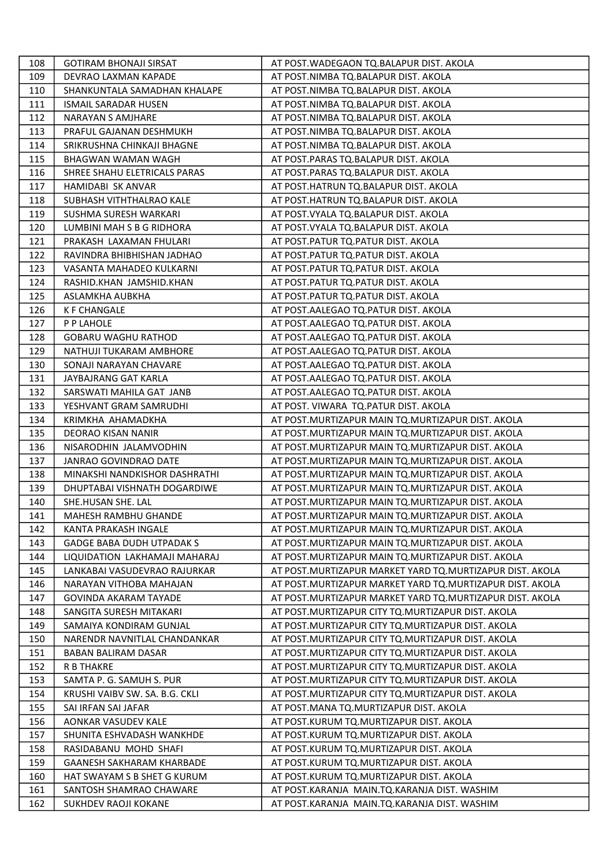| 108 | <b>GOTIRAM BHONAJI SIRSAT</b>    | AT POST. WADEGAON TQ. BALAPUR DIST. AKOLA                  |
|-----|----------------------------------|------------------------------------------------------------|
| 109 | DEVRAO LAXMAN KAPADE             | AT POST.NIMBA TO.BALAPUR DIST. AKOLA                       |
| 110 | SHANKUNTALA SAMADHAN KHALAPE     | AT POST.NIMBA TQ.BALAPUR DIST. AKOLA                       |
| 111 | <b>ISMAIL SARADAR HUSEN</b>      | AT POST.NIMBA TQ.BALAPUR DIST. AKOLA                       |
| 112 | <b>NARAYAN S AMJHARE</b>         | AT POST.NIMBA TQ.BALAPUR DIST. AKOLA                       |
| 113 | PRAFUL GAJANAN DESHMUKH          | AT POST.NIMBA TQ.BALAPUR DIST. AKOLA                       |
| 114 | SRIKRUSHNA CHINKAJI BHAGNE       | AT POST.NIMBA TQ.BALAPUR DIST. AKOLA                       |
| 115 | <b>BHAGWAN WAMAN WAGH</b>        | AT POST.PARAS TQ.BALAPUR DIST. AKOLA                       |
| 116 | SHREE SHAHU ELETRICALS PARAS     | AT POST.PARAS TQ.BALAPUR DIST. AKOLA                       |
| 117 | <b>HAMIDABI SK ANVAR</b>         | AT POST.HATRUN TQ.BALAPUR DIST. AKOLA                      |
| 118 | SUBHASH VITHTHALRAO KALE         | AT POST.HATRUN TQ.BALAPUR DIST. AKOLA                      |
| 119 | SUSHMA SURESH WARKARI            | AT POST. VYALA TQ. BALAPUR DIST. AKOLA                     |
| 120 | LUMBINI MAH S B G RIDHORA        | AT POST. VYALA TQ. BALAPUR DIST. AKOLA                     |
| 121 | PRAKASH LAXAMAN FHULARI          | AT POST.PATUR TQ.PATUR DIST. AKOLA                         |
| 122 | RAVINDRA BHIBHISHAN JADHAO       | AT POST.PATUR TQ.PATUR DIST. AKOLA                         |
| 123 | VASANTA MAHADEO KULKARNI         | AT POST.PATUR TQ.PATUR DIST. AKOLA                         |
| 124 | RASHID.KHAN JAMSHID.KHAN         | AT POST.PATUR TQ.PATUR DIST. AKOLA                         |
| 125 | ASLAMKHA AUBKHA                  | AT POST.PATUR TQ.PATUR DIST. AKOLA                         |
| 126 | <b>K F CHANGALE</b>              | AT POST.AALEGAO TQ.PATUR DIST. AKOLA                       |
| 127 | P P LAHOLE                       | AT POST.AALEGAO TQ.PATUR DIST. AKOLA                       |
| 128 | <b>GOBARU WAGHU RATHOD</b>       | AT POST.AALEGAO TQ.PATUR DIST. AKOLA                       |
| 129 | NATHUJI TUKARAM AMBHORE          | AT POST.AALEGAO TQ.PATUR DIST. AKOLA                       |
| 130 | SONAJI NARAYAN CHAVARE           | AT POST.AALEGAO TQ.PATUR DIST. AKOLA                       |
| 131 | JAYBAJRANG GAT KARLA             | AT POST.AALEGAO TQ.PATUR DIST. AKOLA                       |
| 132 | SARSWATI MAHILA GAT JANB         | AT POST.AALEGAO TQ.PATUR DIST. AKOLA                       |
| 133 | YESHVANT GRAM SAMRUDHI           | AT POST. VIWARA TQ.PATUR DIST. AKOLA                       |
| 134 | KRIMKHA AHAMADKHA                | AT POST. MURTIZAPUR MAIN TQ. MURTIZAPUR DIST. AKOLA        |
| 135 | DEORAO KISAN NANIR               | AT POST.MURTIZAPUR MAIN TQ.MURTIZAPUR DIST. AKOLA          |
| 136 | NISARODHIN JALAMVODHIN           | AT POST. MURTIZAPUR MAIN TQ. MURTIZAPUR DIST. AKOLA        |
| 137 | JANRAO GOVINDRAO DATE            | AT POST. MURTIZAPUR MAIN TQ. MURTIZAPUR DIST. AKOLA        |
| 138 | MINAKSHI NANDKISHOR DASHRATHI    | AT POST. MURTIZAPUR MAIN TO. MURTIZAPUR DIST. AKOLA        |
| 139 | DHUPTABAI VISHNATH DOGARDIWE     | AT POST. MURTIZAPUR MAIN TO. MURTIZAPUR DIST. AKOLA        |
| 140 | SHE.HUSAN SHE. LAL               | AT POST. MURTIZAPUR MAIN TQ. MURTIZAPUR DIST. AKOLA        |
| 141 | MAHESH RAMBHU GHANDE             | AT POST. MURTIZAPUR MAIN TQ. MURTIZAPUR DIST. AKOLA        |
| 142 | KANTA PRAKASH INGALE             | AT POST. MURTIZAPUR MAIN TQ. MURTIZAPUR DIST. AKOLA        |
| 143 | <b>GADGE BABA DUDH UTPADAK S</b> | AT POST. MURTIZAPUR MAIN TO. MURTIZAPUR DIST. AKOLA        |
| 144 | LIQUIDATION LAKHAMAJI MAHARAJ    | AT POST. MURTIZAPUR MAIN TO. MURTIZAPUR DIST. AKOLA        |
| 145 | LANKABAI VASUDEVRAO RAJURKAR     | AT POST. MURTIZAPUR MARKET YARD TO. MURTIZAPUR DIST. AKOLA |
| 146 | NARAYAN VITHOBA MAHAJAN          | AT POST. MURTIZAPUR MARKET YARD TO. MURTIZAPUR DIST. AKOLA |
| 147 | GOVINDA AKARAM TAYADE            | AT POST.MURTIZAPUR MARKET YARD TQ.MURTIZAPUR DIST. AKOLA   |
| 148 | SANGITA SURESH MITAKARI          | AT POST. MURTIZAPUR CITY TO. MURTIZAPUR DIST. AKOLA        |
| 149 | SAMAIYA KONDIRAM GUNJAL          | AT POST.MURTIZAPUR CITY TQ.MURTIZAPUR DIST. AKOLA          |
| 150 | NARENDR NAVNITLAL CHANDANKAR     | AT POST. MURTIZAPUR CITY TQ. MURTIZAPUR DIST. AKOLA        |
| 151 | <b>BABAN BALIRAM DASAR</b>       | AT POST. MURTIZAPUR CITY TQ. MURTIZAPUR DIST. AKOLA        |
| 152 | R B THAKRE                       | AT POST. MURTIZAPUR CITY TQ. MURTIZAPUR DIST. AKOLA        |
| 153 | SAMTA P. G. SAMUH S. PUR         | AT POST.MURTIZAPUR CITY TQ.MURTIZAPUR DIST. AKOLA          |
| 154 | KRUSHI VAIBV SW. SA. B.G. CKLI   | AT POST. MURTIZAPUR CITY TO. MURTIZAPUR DIST. AKOLA        |
| 155 | SAI IRFAN SAI JAFAR              | AT POST.MANA TQ.MURTIZAPUR DIST. AKOLA                     |
| 156 | AONKAR VASUDEV KALE              | AT POST.KURUM TQ.MURTIZAPUR DIST. AKOLA                    |
| 157 | SHUNITA ESHVADASH WANKHDE        | AT POST.KURUM TQ.MURTIZAPUR DIST. AKOLA                    |
| 158 | RASIDABANU MOHD SHAFI            | AT POST.KURUM TQ.MURTIZAPUR DIST. AKOLA                    |
| 159 | <b>GAANESH SAKHARAM KHARBADE</b> | AT POST.KURUM TQ.MURTIZAPUR DIST. AKOLA                    |
| 160 | HAT SWAYAM S B SHET G KURUM      | AT POST.KURUM TQ.MURTIZAPUR DIST. AKOLA                    |
| 161 | SANTOSH SHAMRAO CHAWARE          | AT POST.KARANJA MAIN.TQ.KARANJA DIST. WASHIM               |
| 162 | SUKHDEV RAOJI KOKANE             | AT POST.KARANJA MAIN.TQ.KARANJA DIST. WASHIM               |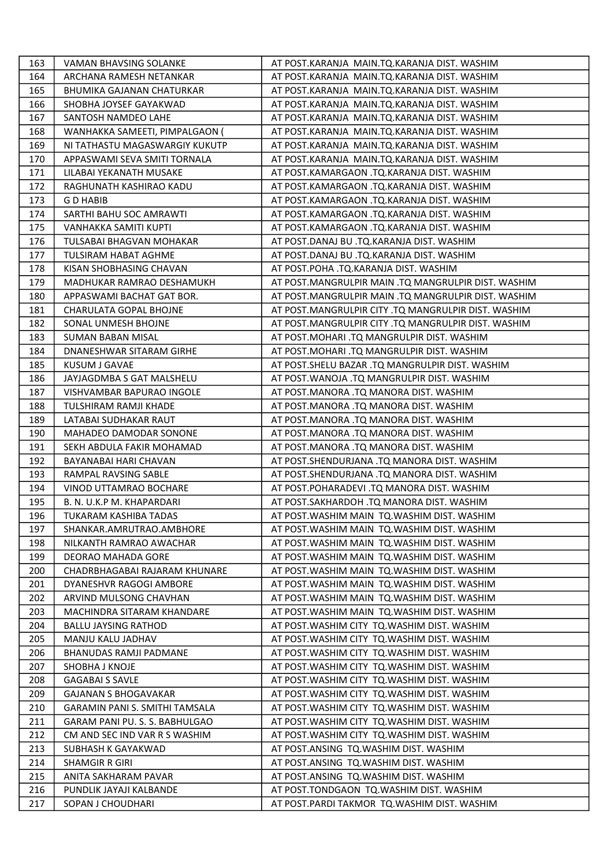| 163 | VAMAN BHAVSING SOLANKE           | AT POST.KARANJA MAIN.TQ.KARANJA DIST. WASHIM        |
|-----|----------------------------------|-----------------------------------------------------|
| 164 | ARCHANA RAMESH NETANKAR          | AT POST.KARANJA MAIN.TQ.KARANJA DIST. WASHIM        |
| 165 | <b>BHUMIKA GAJANAN CHATURKAR</b> | AT POST.KARANJA MAIN.TQ.KARANJA DIST. WASHIM        |
| 166 | SHOBHA JOYSEF GAYAKWAD           | AT POST.KARANJA MAIN.TQ.KARANJA DIST. WASHIM        |
| 167 | SANTOSH NAMDEO LAHE              | AT POST.KARANJA MAIN.TQ.KARANJA DIST. WASHIM        |
| 168 | WANHAKKA SAMEETI, PIMPALGAON (   | AT POST.KARANJA MAIN.TQ.KARANJA DIST. WASHIM        |
| 169 | NI TATHASTU MAGASWARGIY KUKUTP   | AT POST.KARANJA MAIN.TQ.KARANJA DIST. WASHIM        |
| 170 | APPASWAMI SEVA SMITI TORNALA     | AT POST.KARANJA MAIN.TQ.KARANJA DIST. WASHIM        |
| 171 | LILABAI YEKANATH MUSAKE          | AT POST.KAMARGAON .TQ.KARANJA DIST. WASHIM          |
| 172 | RAGHUNATH KASHIRAO KADU          | AT POST.KAMARGAON .TQ.KARANJA DIST. WASHIM          |
| 173 | <b>GD HABIB</b>                  | AT POST.KAMARGAON .TQ.KARANJA DIST. WASHIM          |
| 174 | SARTHI BAHU SOC AMRAWTI          | AT POST.KAMARGAON .TQ.KARANJA DIST. WASHIM          |
| 175 | VANHAKKA SAMITI KUPTI            | AT POST.KAMARGAON .TQ.KARANJA DIST. WASHIM          |
| 176 | TULSABAI BHAGVAN MOHAKAR         | AT POST.DANAJ BU .TQ.KARANJA DIST. WASHIM           |
| 177 | TULSIRAM HABAT AGHME             | AT POST.DANAJ BU .TQ.KARANJA DIST. WASHIM           |
| 178 | KISAN SHOBHASING CHAVAN          | AT POST.POHA .TQ.KARANJA DIST. WASHIM               |
| 179 | MADHUKAR RAMRAO DESHAMUKH        | AT POST.MANGRULPIR MAIN .TQ MANGRULPIR DIST. WASHIM |
| 180 | APPASWAMI BACHAT GAT BOR.        | AT POST.MANGRULPIR MAIN .TQ MANGRULPIR DIST. WASHIM |
| 181 | CHARULATA GOPAL BHOJNE           | AT POST.MANGRULPIR CITY .TQ MANGRULPIR DIST. WASHIM |
| 182 | SONAL UNMESH BHOJNE              | AT POST.MANGRULPIR CITY .TQ MANGRULPIR DIST. WASHIM |
| 183 | <b>SUMAN BABAN MISAL</b>         | AT POST.MOHARI .TQ MANGRULPIR DIST. WASHIM          |
| 184 | DNANESHWAR SITARAM GIRHE         | AT POST.MOHARI .TQ MANGRULPIR DIST. WASHIM          |
| 185 | KUSUM J GAVAE                    | AT POST.SHELU BAZAR .TQ MANGRULPIR DIST. WASHIM     |
| 186 | JAYJAGDMBA S GAT MALSHELU        | AT POST. WANOJA .TQ MANGRULPIR DIST. WASHIM         |
| 187 | VISHVAMBAR BAPURAO INGOLE        | AT POST.MANORA .TQ MANORA DIST. WASHIM              |
| 188 | TULSHIRAM RAMJI KHADE            | AT POST.MANORA .TQ MANORA DIST. WASHIM              |
| 189 | LATABAI SUDHAKAR RAUT            | AT POST.MANORA .TQ MANORA DIST. WASHIM              |
| 190 | MAHADEO DAMODAR SONONE           | AT POST.MANORA .TQ MANORA DIST. WASHIM              |
| 191 | SEKH ABDULA FAKIR MOHAMAD        | AT POST.MANORA .TQ MANORA DIST. WASHIM              |
| 192 | BAYANABAI HARI CHAVAN            | AT POST.SHENDURJANA .TQ MANORA DIST. WASHIM         |
| 193 | RAMPAL RAVSING SABLE             | AT POST.SHENDURJANA .TQ MANORA DIST. WASHIM         |
| 194 | VINOD UTTAMRAO BOCHARE           | AT POST.POHARADEVI .TQ MANORA DIST. WASHIM          |
| 195 | B. N. U.K.P M. KHAPARDARI        | AT POST.SAKHARDOH .TQ MANORA DIST. WASHIM           |
| 196 | TUKARAM KASHIBA TADAS            | AT POST. WASHIM MAIN TQ. WASHIM DIST. WASHIM        |
| 197 | SHANKAR.AMRUTRAO.AMBHORE         | AT POST. WASHIM MAIN TO. WASHIM DIST. WASHIM        |
| 198 | NILKANTH RAMRAO AWACHAR          | AT POST. WASHIM MAIN TO. WASHIM DIST. WASHIM        |
| 199 | DEORAO MAHADA GORE               | AT POST. WASHIM MAIN TQ. WASHIM DIST. WASHIM        |
| 200 | CHADRBHAGABAI RAJARAM KHUNARE    | AT POST. WASHIM MAIN TQ. WASHIM DIST. WASHIM        |
| 201 | DYANESHVR RAGOGI AMBORE          | AT POST. WASHIM MAIN TQ. WASHIM DIST. WASHIM        |
| 202 | ARVIND MULSONG CHAVHAN           | AT POST. WASHIM MAIN TO. WASHIM DIST. WASHIM        |
| 203 | MACHINDRA SITARAM KHANDARE       | AT POST. WASHIM MAIN TQ. WASHIM DIST. WASHIM        |
| 204 | <b>BALLU JAYSING RATHOD</b>      | AT POST. WASHIM CITY TQ. WASHIM DIST. WASHIM        |
| 205 | MANJU KALU JADHAV                | AT POST. WASHIM CITY TQ. WASHIM DIST. WASHIM        |
| 206 | BHANUDAS RAMJI PADMANE           | AT POST. WASHIM CITY TQ. WASHIM DIST. WASHIM        |
| 207 | SHOBHA J KNOJE                   | AT POST. WASHIM CITY TQ. WASHIM DIST. WASHIM        |
| 208 | <b>GAGABAI S SAVLE</b>           | AT POST. WASHIM CITY TQ. WASHIM DIST. WASHIM        |
| 209 | <b>GAJANAN S BHOGAVAKAR</b>      | AT POST. WASHIM CITY TQ. WASHIM DIST. WASHIM        |
| 210 | GARAMIN PANI S. SMITHI TAMSALA   | AT POST. WASHIM CITY TQ. WASHIM DIST. WASHIM        |
| 211 | GARAM PANI PU. S. S. BABHULGAO   | AT POST. WASHIM CITY TQ. WASHIM DIST. WASHIM        |
| 212 | CM AND SEC IND VAR R S WASHIM    | AT POST. WASHIM CITY TQ. WASHIM DIST. WASHIM        |
| 213 | SUBHASH K GAYAKWAD               | AT POST.ANSING TQ.WASHIM DIST. WASHIM               |
| 214 | <b>SHAMGIR R GIRI</b>            | AT POST.ANSING TQ.WASHIM DIST. WASHIM               |
| 215 | ANITA SAKHARAM PAVAR             | AT POST.ANSING TQ.WASHIM DIST. WASHIM               |
| 216 | PUNDLIK JAYAJI KALBANDE          | AT POST.TONDGAON TQ.WASHIM DIST. WASHIM             |
| 217 | SOPAN J CHOUDHARI                | AT POST.PARDI TAKMOR TQ.WASHIM DIST. WASHIM         |
|     |                                  |                                                     |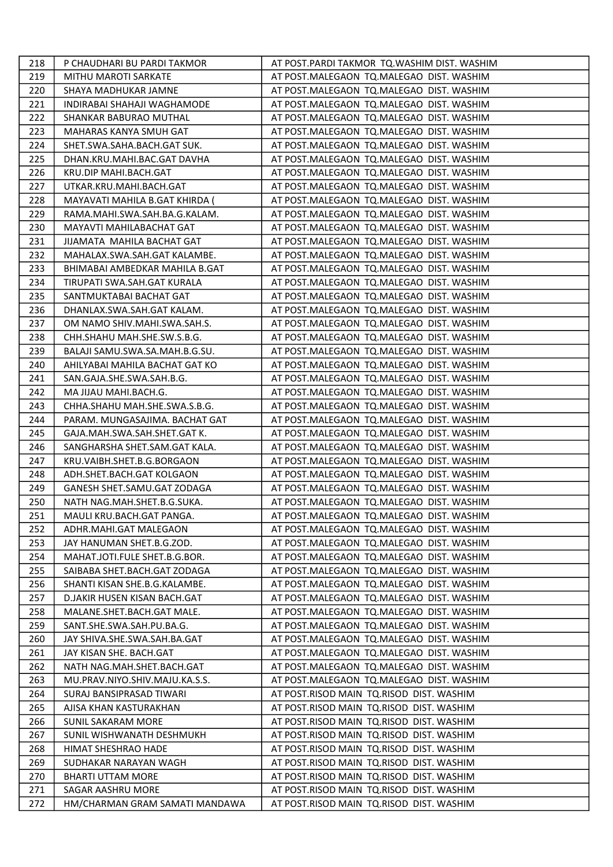| 219<br><b>MITHU MAROTI SARKATE</b><br>AT POST.MALEGAON TQ.MALEGAO DIST. WASHIM<br>AT POST.MALEGAON TQ.MALEGAO DIST. WASHIM<br>220<br>SHAYA MADHUKAR JAMNE<br>221<br>INDIRABAI SHAHAJI WAGHAMODE<br>AT POST.MALEGAON TQ.MALEGAO DIST. WASHIM<br>222<br>SHANKAR BABURAO MUTHAL<br>AT POST.MALEGAON TQ.MALEGAO DIST. WASHIM<br>223<br>MAHARAS KANYA SMUH GAT<br>AT POST.MALEGAON TQ.MALEGAO DIST. WASHIM<br>224<br>SHET.SWA.SAHA.BACH.GAT SUK.<br>AT POST.MALEGAON TQ.MALEGAO DIST. WASHIM<br>225<br>DHAN.KRU.MAHI.BAC.GAT DAVHA<br>AT POST.MALEGAON TQ.MALEGAO DIST. WASHIM<br>226<br>KRU.DIP MAHI.BACH.GAT<br>AT POST.MALEGAON TQ.MALEGAO DIST. WASHIM<br>227<br>UTKAR.KRU.MAHI.BACH.GAT<br>AT POST.MALEGAON TQ.MALEGAO DIST. WASHIM<br>228<br>MAYAVATI MAHILA B.GAT KHIRDA (<br>AT POST.MALEGAON TQ.MALEGAO DIST. WASHIM<br>229<br>RAMA.MAHI.SWA.SAH.BA.G.KALAM.<br>AT POST.MALEGAON TQ.MALEGAO DIST. WASHIM<br>230<br>AT POST.MALEGAON TQ.MALEGAO DIST. WASHIM<br>MAYAVTI MAHILABACHAT GAT<br>231<br>JIJAMATA MAHILA BACHAT GAT<br>AT POST.MALEGAON TQ.MALEGAO DIST. WASHIM<br>232<br>MAHALAX.SWA.SAH.GAT KALAMBE.<br>AT POST.MALEGAON TQ.MALEGAO DIST. WASHIM<br>233<br>BHIMABAI AMBEDKAR MAHILA B.GAT<br>AT POST.MALEGAON TQ.MALEGAO DIST. WASHIM<br>234<br>TIRUPATI SWA.SAH.GAT KURALA<br>AT POST.MALEGAON TQ.MALEGAO DIST. WASHIM<br>235<br>SANTMUKTABAI BACHAT GAT<br>AT POST.MALEGAON TQ.MALEGAO DIST. WASHIM<br>236<br>DHANLAX.SWA.SAH.GAT KALAM.<br>AT POST.MALEGAON TQ.MALEGAO DIST. WASHIM<br>237<br>OM NAMO SHIV.MAHI.SWA.SAH.S.<br>AT POST.MALEGAON TQ.MALEGAO DIST. WASHIM<br>238<br>CHH.SHAHU MAH.SHE.SW.S.B.G.<br>AT POST.MALEGAON TQ.MALEGAO DIST. WASHIM<br>239<br>BALAJI SAMU.SWA.SA.MAH.B.G.SU.<br>AT POST.MALEGAON TQ.MALEGAO DIST. WASHIM<br>240<br>AHILYABAI MAHILA BACHAT GAT KO<br>AT POST.MALEGAON TQ.MALEGAO DIST. WASHIM<br>SAN.GAJA.SHE.SWA.SAH.B.G.<br>AT POST.MALEGAON TQ.MALEGAO DIST. WASHIM<br>241<br>242<br>MA JIJAU MAHI.BACH.G.<br>AT POST.MALEGAON TQ.MALEGAO DIST. WASHIM<br>CHHA.SHAHU MAH.SHE.SWA.S.B.G.<br>243<br>AT POST.MALEGAON TQ.MALEGAO DIST. WASHIM<br>244<br>PARAM. MUNGASAJIMA. BACHAT GAT<br>AT POST.MALEGAON TQ.MALEGAO DIST. WASHIM<br>245<br>GAJA.MAH.SWA.SAH.SHET.GAT K.<br>AT POST.MALEGAON TQ.MALEGAO DIST. WASHIM<br>246<br>SANGHARSHA SHET.SAM.GAT KALA.<br>AT POST.MALEGAON TQ.MALEGAO DIST. WASHIM<br>247<br>KRU.VAIBH.SHET.B.G.BORGAON<br>AT POST.MALEGAON TQ.MALEGAO DIST. WASHIM<br>ADH.SHET.BACH.GAT KOLGAON<br>AT POST.MALEGAON TQ.MALEGAO DIST. WASHIM<br>248<br>249<br>GANESH SHET.SAMU.GAT ZODAGA<br>AT POST.MALEGAON TQ.MALEGAO DIST. WASHIM<br>250<br>NATH NAG.MAH.SHET.B.G.SUKA.<br>AT POST.MALEGAON TQ.MALEGAO DIST. WASHIM<br>251<br>MAULI KRU.BACH.GAT PANGA.<br>AT POST.MALEGAON TQ.MALEGAO DIST. WASHIM<br>252<br>ADHR.MAHI.GAT MALEGAON<br>AT POST.MALEGAON TQ.MALEGAO DIST. WASHIM<br>253<br>JAY HANUMAN SHET.B.G.ZOD.<br>AT POST.MALEGAON TQ.MALEGAO DIST. WASHIM<br>254<br>MAHAT.JOTI.FULE SHET.B.G.BOR.<br>AT POST.MALEGAON TQ.MALEGAO DIST. WASHIM<br>255<br>SAIBABA SHET.BACH.GAT ZODAGA<br>AT POST.MALEGAON TQ.MALEGAO DIST. WASHIM<br>256<br>SHANTI KISAN SHE.B.G.KALAMBE.<br>AT POST.MALEGAON TQ.MALEGAO DIST. WASHIM<br>257<br>D.JAKIR HUSEN KISAN BACH.GAT<br>AT POST.MALEGAON TQ.MALEGAO DIST. WASHIM<br>258<br>MALANE.SHET.BACH.GAT MALE.<br>AT POST.MALEGAON TQ.MALEGAO DIST. WASHIM<br>259<br>SANT.SHE.SWA.SAH.PU.BA.G.<br>AT POST.MALEGAON TQ.MALEGAO DIST. WASHIM<br>260<br>JAY SHIVA.SHE.SWA.SAH.BA.GAT<br>AT POST.MALEGAON TQ.MALEGAO DIST. WASHIM<br>261<br>JAY KISAN SHE. BACH.GAT<br>AT POST.MALEGAON TQ.MALEGAO DIST. WASHIM<br>262<br>NATH NAG.MAH.SHET.BACH.GAT<br>AT POST.MALEGAON TQ.MALEGAO DIST. WASHIM<br>263<br>MU.PRAV.NIYO.SHIV.MAJU.KA.S.S.<br>AT POST.MALEGAON TQ.MALEGAO DIST. WASHIM<br>264<br>SURAJ BANSIPRASAD TIWARI<br>AT POST.RISOD MAIN TQ.RISOD DIST. WASHIM<br>265<br>AT POST.RISOD MAIN TQ.RISOD DIST. WASHIM<br>AJISA KHAN KASTURAKHAN<br>266<br><b>SUNIL SAKARAM MORE</b><br>AT POST.RISOD MAIN TQ.RISOD DIST. WASHIM<br>267<br>AT POST.RISOD MAIN TQ.RISOD DIST. WASHIM<br>SUNIL WISHWANATH DESHMUKH<br>268<br>AT POST.RISOD MAIN TQ.RISOD DIST. WASHIM<br>HIMAT SHESHRAO HADE<br>269<br>AT POST.RISOD MAIN TQ.RISOD DIST. WASHIM<br>SUDHAKAR NARAYAN WAGH<br>AT POST.RISOD MAIN TQ.RISOD DIST. WASHIM<br>270<br><b>BHARTI UTTAM MORE</b><br>271<br>SAGAR AASHRU MORE<br>AT POST.RISOD MAIN TQ.RISOD DIST. WASHIM<br>272<br>HM/CHARMAN GRAM SAMATI MANDAWA<br>AT POST.RISOD MAIN TQ.RISOD DIST. WASHIM | 218 | P CHAUDHARI BU PARDI TAKMOR | AT POST.PARDI TAKMOR TQ.WASHIM DIST. WASHIM |
|----------------------------------------------------------------------------------------------------------------------------------------------------------------------------------------------------------------------------------------------------------------------------------------------------------------------------------------------------------------------------------------------------------------------------------------------------------------------------------------------------------------------------------------------------------------------------------------------------------------------------------------------------------------------------------------------------------------------------------------------------------------------------------------------------------------------------------------------------------------------------------------------------------------------------------------------------------------------------------------------------------------------------------------------------------------------------------------------------------------------------------------------------------------------------------------------------------------------------------------------------------------------------------------------------------------------------------------------------------------------------------------------------------------------------------------------------------------------------------------------------------------------------------------------------------------------------------------------------------------------------------------------------------------------------------------------------------------------------------------------------------------------------------------------------------------------------------------------------------------------------------------------------------------------------------------------------------------------------------------------------------------------------------------------------------------------------------------------------------------------------------------------------------------------------------------------------------------------------------------------------------------------------------------------------------------------------------------------------------------------------------------------------------------------------------------------------------------------------------------------------------------------------------------------------------------------------------------------------------------------------------------------------------------------------------------------------------------------------------------------------------------------------------------------------------------------------------------------------------------------------------------------------------------------------------------------------------------------------------------------------------------------------------------------------------------------------------------------------------------------------------------------------------------------------------------------------------------------------------------------------------------------------------------------------------------------------------------------------------------------------------------------------------------------------------------------------------------------------------------------------------------------------------------------------------------------------------------------------------------------------------------------------------------------------------------------------------------------------------------------------------------------------------------------------------------------------------------------------------------------------------------------------------------------------------------------------------------------------------------------------------------------------------------------------------------------------------------------------------------------------------------------------------------------------------------------------------------------------------------------------------------------------------------------------------------------------------------------------------------------------------------------------------------------------------------------------------------------------------------------------------------------------------------|-----|-----------------------------|---------------------------------------------|
|                                                                                                                                                                                                                                                                                                                                                                                                                                                                                                                                                                                                                                                                                                                                                                                                                                                                                                                                                                                                                                                                                                                                                                                                                                                                                                                                                                                                                                                                                                                                                                                                                                                                                                                                                                                                                                                                                                                                                                                                                                                                                                                                                                                                                                                                                                                                                                                                                                                                                                                                                                                                                                                                                                                                                                                                                                                                                                                                                                                                                                                                                                                                                                                                                                                                                                                                                                                                                                                                                                                                                                                                                                                                                                                                                                                                                                                                                                                                                                                                                                                                                                                                                                                                                                                                                                                                                                                                                                                                                                                                        |     |                             |                                             |
|                                                                                                                                                                                                                                                                                                                                                                                                                                                                                                                                                                                                                                                                                                                                                                                                                                                                                                                                                                                                                                                                                                                                                                                                                                                                                                                                                                                                                                                                                                                                                                                                                                                                                                                                                                                                                                                                                                                                                                                                                                                                                                                                                                                                                                                                                                                                                                                                                                                                                                                                                                                                                                                                                                                                                                                                                                                                                                                                                                                                                                                                                                                                                                                                                                                                                                                                                                                                                                                                                                                                                                                                                                                                                                                                                                                                                                                                                                                                                                                                                                                                                                                                                                                                                                                                                                                                                                                                                                                                                                                                        |     |                             |                                             |
|                                                                                                                                                                                                                                                                                                                                                                                                                                                                                                                                                                                                                                                                                                                                                                                                                                                                                                                                                                                                                                                                                                                                                                                                                                                                                                                                                                                                                                                                                                                                                                                                                                                                                                                                                                                                                                                                                                                                                                                                                                                                                                                                                                                                                                                                                                                                                                                                                                                                                                                                                                                                                                                                                                                                                                                                                                                                                                                                                                                                                                                                                                                                                                                                                                                                                                                                                                                                                                                                                                                                                                                                                                                                                                                                                                                                                                                                                                                                                                                                                                                                                                                                                                                                                                                                                                                                                                                                                                                                                                                                        |     |                             |                                             |
|                                                                                                                                                                                                                                                                                                                                                                                                                                                                                                                                                                                                                                                                                                                                                                                                                                                                                                                                                                                                                                                                                                                                                                                                                                                                                                                                                                                                                                                                                                                                                                                                                                                                                                                                                                                                                                                                                                                                                                                                                                                                                                                                                                                                                                                                                                                                                                                                                                                                                                                                                                                                                                                                                                                                                                                                                                                                                                                                                                                                                                                                                                                                                                                                                                                                                                                                                                                                                                                                                                                                                                                                                                                                                                                                                                                                                                                                                                                                                                                                                                                                                                                                                                                                                                                                                                                                                                                                                                                                                                                                        |     |                             |                                             |
|                                                                                                                                                                                                                                                                                                                                                                                                                                                                                                                                                                                                                                                                                                                                                                                                                                                                                                                                                                                                                                                                                                                                                                                                                                                                                                                                                                                                                                                                                                                                                                                                                                                                                                                                                                                                                                                                                                                                                                                                                                                                                                                                                                                                                                                                                                                                                                                                                                                                                                                                                                                                                                                                                                                                                                                                                                                                                                                                                                                                                                                                                                                                                                                                                                                                                                                                                                                                                                                                                                                                                                                                                                                                                                                                                                                                                                                                                                                                                                                                                                                                                                                                                                                                                                                                                                                                                                                                                                                                                                                                        |     |                             |                                             |
|                                                                                                                                                                                                                                                                                                                                                                                                                                                                                                                                                                                                                                                                                                                                                                                                                                                                                                                                                                                                                                                                                                                                                                                                                                                                                                                                                                                                                                                                                                                                                                                                                                                                                                                                                                                                                                                                                                                                                                                                                                                                                                                                                                                                                                                                                                                                                                                                                                                                                                                                                                                                                                                                                                                                                                                                                                                                                                                                                                                                                                                                                                                                                                                                                                                                                                                                                                                                                                                                                                                                                                                                                                                                                                                                                                                                                                                                                                                                                                                                                                                                                                                                                                                                                                                                                                                                                                                                                                                                                                                                        |     |                             |                                             |
|                                                                                                                                                                                                                                                                                                                                                                                                                                                                                                                                                                                                                                                                                                                                                                                                                                                                                                                                                                                                                                                                                                                                                                                                                                                                                                                                                                                                                                                                                                                                                                                                                                                                                                                                                                                                                                                                                                                                                                                                                                                                                                                                                                                                                                                                                                                                                                                                                                                                                                                                                                                                                                                                                                                                                                                                                                                                                                                                                                                                                                                                                                                                                                                                                                                                                                                                                                                                                                                                                                                                                                                                                                                                                                                                                                                                                                                                                                                                                                                                                                                                                                                                                                                                                                                                                                                                                                                                                                                                                                                                        |     |                             |                                             |
|                                                                                                                                                                                                                                                                                                                                                                                                                                                                                                                                                                                                                                                                                                                                                                                                                                                                                                                                                                                                                                                                                                                                                                                                                                                                                                                                                                                                                                                                                                                                                                                                                                                                                                                                                                                                                                                                                                                                                                                                                                                                                                                                                                                                                                                                                                                                                                                                                                                                                                                                                                                                                                                                                                                                                                                                                                                                                                                                                                                                                                                                                                                                                                                                                                                                                                                                                                                                                                                                                                                                                                                                                                                                                                                                                                                                                                                                                                                                                                                                                                                                                                                                                                                                                                                                                                                                                                                                                                                                                                                                        |     |                             |                                             |
|                                                                                                                                                                                                                                                                                                                                                                                                                                                                                                                                                                                                                                                                                                                                                                                                                                                                                                                                                                                                                                                                                                                                                                                                                                                                                                                                                                                                                                                                                                                                                                                                                                                                                                                                                                                                                                                                                                                                                                                                                                                                                                                                                                                                                                                                                                                                                                                                                                                                                                                                                                                                                                                                                                                                                                                                                                                                                                                                                                                                                                                                                                                                                                                                                                                                                                                                                                                                                                                                                                                                                                                                                                                                                                                                                                                                                                                                                                                                                                                                                                                                                                                                                                                                                                                                                                                                                                                                                                                                                                                                        |     |                             |                                             |
|                                                                                                                                                                                                                                                                                                                                                                                                                                                                                                                                                                                                                                                                                                                                                                                                                                                                                                                                                                                                                                                                                                                                                                                                                                                                                                                                                                                                                                                                                                                                                                                                                                                                                                                                                                                                                                                                                                                                                                                                                                                                                                                                                                                                                                                                                                                                                                                                                                                                                                                                                                                                                                                                                                                                                                                                                                                                                                                                                                                                                                                                                                                                                                                                                                                                                                                                                                                                                                                                                                                                                                                                                                                                                                                                                                                                                                                                                                                                                                                                                                                                                                                                                                                                                                                                                                                                                                                                                                                                                                                                        |     |                             |                                             |
|                                                                                                                                                                                                                                                                                                                                                                                                                                                                                                                                                                                                                                                                                                                                                                                                                                                                                                                                                                                                                                                                                                                                                                                                                                                                                                                                                                                                                                                                                                                                                                                                                                                                                                                                                                                                                                                                                                                                                                                                                                                                                                                                                                                                                                                                                                                                                                                                                                                                                                                                                                                                                                                                                                                                                                                                                                                                                                                                                                                                                                                                                                                                                                                                                                                                                                                                                                                                                                                                                                                                                                                                                                                                                                                                                                                                                                                                                                                                                                                                                                                                                                                                                                                                                                                                                                                                                                                                                                                                                                                                        |     |                             |                                             |
|                                                                                                                                                                                                                                                                                                                                                                                                                                                                                                                                                                                                                                                                                                                                                                                                                                                                                                                                                                                                                                                                                                                                                                                                                                                                                                                                                                                                                                                                                                                                                                                                                                                                                                                                                                                                                                                                                                                                                                                                                                                                                                                                                                                                                                                                                                                                                                                                                                                                                                                                                                                                                                                                                                                                                                                                                                                                                                                                                                                                                                                                                                                                                                                                                                                                                                                                                                                                                                                                                                                                                                                                                                                                                                                                                                                                                                                                                                                                                                                                                                                                                                                                                                                                                                                                                                                                                                                                                                                                                                                                        |     |                             |                                             |
|                                                                                                                                                                                                                                                                                                                                                                                                                                                                                                                                                                                                                                                                                                                                                                                                                                                                                                                                                                                                                                                                                                                                                                                                                                                                                                                                                                                                                                                                                                                                                                                                                                                                                                                                                                                                                                                                                                                                                                                                                                                                                                                                                                                                                                                                                                                                                                                                                                                                                                                                                                                                                                                                                                                                                                                                                                                                                                                                                                                                                                                                                                                                                                                                                                                                                                                                                                                                                                                                                                                                                                                                                                                                                                                                                                                                                                                                                                                                                                                                                                                                                                                                                                                                                                                                                                                                                                                                                                                                                                                                        |     |                             |                                             |
|                                                                                                                                                                                                                                                                                                                                                                                                                                                                                                                                                                                                                                                                                                                                                                                                                                                                                                                                                                                                                                                                                                                                                                                                                                                                                                                                                                                                                                                                                                                                                                                                                                                                                                                                                                                                                                                                                                                                                                                                                                                                                                                                                                                                                                                                                                                                                                                                                                                                                                                                                                                                                                                                                                                                                                                                                                                                                                                                                                                                                                                                                                                                                                                                                                                                                                                                                                                                                                                                                                                                                                                                                                                                                                                                                                                                                                                                                                                                                                                                                                                                                                                                                                                                                                                                                                                                                                                                                                                                                                                                        |     |                             |                                             |
|                                                                                                                                                                                                                                                                                                                                                                                                                                                                                                                                                                                                                                                                                                                                                                                                                                                                                                                                                                                                                                                                                                                                                                                                                                                                                                                                                                                                                                                                                                                                                                                                                                                                                                                                                                                                                                                                                                                                                                                                                                                                                                                                                                                                                                                                                                                                                                                                                                                                                                                                                                                                                                                                                                                                                                                                                                                                                                                                                                                                                                                                                                                                                                                                                                                                                                                                                                                                                                                                                                                                                                                                                                                                                                                                                                                                                                                                                                                                                                                                                                                                                                                                                                                                                                                                                                                                                                                                                                                                                                                                        |     |                             |                                             |
|                                                                                                                                                                                                                                                                                                                                                                                                                                                                                                                                                                                                                                                                                                                                                                                                                                                                                                                                                                                                                                                                                                                                                                                                                                                                                                                                                                                                                                                                                                                                                                                                                                                                                                                                                                                                                                                                                                                                                                                                                                                                                                                                                                                                                                                                                                                                                                                                                                                                                                                                                                                                                                                                                                                                                                                                                                                                                                                                                                                                                                                                                                                                                                                                                                                                                                                                                                                                                                                                                                                                                                                                                                                                                                                                                                                                                                                                                                                                                                                                                                                                                                                                                                                                                                                                                                                                                                                                                                                                                                                                        |     |                             |                                             |
|                                                                                                                                                                                                                                                                                                                                                                                                                                                                                                                                                                                                                                                                                                                                                                                                                                                                                                                                                                                                                                                                                                                                                                                                                                                                                                                                                                                                                                                                                                                                                                                                                                                                                                                                                                                                                                                                                                                                                                                                                                                                                                                                                                                                                                                                                                                                                                                                                                                                                                                                                                                                                                                                                                                                                                                                                                                                                                                                                                                                                                                                                                                                                                                                                                                                                                                                                                                                                                                                                                                                                                                                                                                                                                                                                                                                                                                                                                                                                                                                                                                                                                                                                                                                                                                                                                                                                                                                                                                                                                                                        |     |                             |                                             |
|                                                                                                                                                                                                                                                                                                                                                                                                                                                                                                                                                                                                                                                                                                                                                                                                                                                                                                                                                                                                                                                                                                                                                                                                                                                                                                                                                                                                                                                                                                                                                                                                                                                                                                                                                                                                                                                                                                                                                                                                                                                                                                                                                                                                                                                                                                                                                                                                                                                                                                                                                                                                                                                                                                                                                                                                                                                                                                                                                                                                                                                                                                                                                                                                                                                                                                                                                                                                                                                                                                                                                                                                                                                                                                                                                                                                                                                                                                                                                                                                                                                                                                                                                                                                                                                                                                                                                                                                                                                                                                                                        |     |                             |                                             |
|                                                                                                                                                                                                                                                                                                                                                                                                                                                                                                                                                                                                                                                                                                                                                                                                                                                                                                                                                                                                                                                                                                                                                                                                                                                                                                                                                                                                                                                                                                                                                                                                                                                                                                                                                                                                                                                                                                                                                                                                                                                                                                                                                                                                                                                                                                                                                                                                                                                                                                                                                                                                                                                                                                                                                                                                                                                                                                                                                                                                                                                                                                                                                                                                                                                                                                                                                                                                                                                                                                                                                                                                                                                                                                                                                                                                                                                                                                                                                                                                                                                                                                                                                                                                                                                                                                                                                                                                                                                                                                                                        |     |                             |                                             |
|                                                                                                                                                                                                                                                                                                                                                                                                                                                                                                                                                                                                                                                                                                                                                                                                                                                                                                                                                                                                                                                                                                                                                                                                                                                                                                                                                                                                                                                                                                                                                                                                                                                                                                                                                                                                                                                                                                                                                                                                                                                                                                                                                                                                                                                                                                                                                                                                                                                                                                                                                                                                                                                                                                                                                                                                                                                                                                                                                                                                                                                                                                                                                                                                                                                                                                                                                                                                                                                                                                                                                                                                                                                                                                                                                                                                                                                                                                                                                                                                                                                                                                                                                                                                                                                                                                                                                                                                                                                                                                                                        |     |                             |                                             |
|                                                                                                                                                                                                                                                                                                                                                                                                                                                                                                                                                                                                                                                                                                                                                                                                                                                                                                                                                                                                                                                                                                                                                                                                                                                                                                                                                                                                                                                                                                                                                                                                                                                                                                                                                                                                                                                                                                                                                                                                                                                                                                                                                                                                                                                                                                                                                                                                                                                                                                                                                                                                                                                                                                                                                                                                                                                                                                                                                                                                                                                                                                                                                                                                                                                                                                                                                                                                                                                                                                                                                                                                                                                                                                                                                                                                                                                                                                                                                                                                                                                                                                                                                                                                                                                                                                                                                                                                                                                                                                                                        |     |                             |                                             |
|                                                                                                                                                                                                                                                                                                                                                                                                                                                                                                                                                                                                                                                                                                                                                                                                                                                                                                                                                                                                                                                                                                                                                                                                                                                                                                                                                                                                                                                                                                                                                                                                                                                                                                                                                                                                                                                                                                                                                                                                                                                                                                                                                                                                                                                                                                                                                                                                                                                                                                                                                                                                                                                                                                                                                                                                                                                                                                                                                                                                                                                                                                                                                                                                                                                                                                                                                                                                                                                                                                                                                                                                                                                                                                                                                                                                                                                                                                                                                                                                                                                                                                                                                                                                                                                                                                                                                                                                                                                                                                                                        |     |                             |                                             |
|                                                                                                                                                                                                                                                                                                                                                                                                                                                                                                                                                                                                                                                                                                                                                                                                                                                                                                                                                                                                                                                                                                                                                                                                                                                                                                                                                                                                                                                                                                                                                                                                                                                                                                                                                                                                                                                                                                                                                                                                                                                                                                                                                                                                                                                                                                                                                                                                                                                                                                                                                                                                                                                                                                                                                                                                                                                                                                                                                                                                                                                                                                                                                                                                                                                                                                                                                                                                                                                                                                                                                                                                                                                                                                                                                                                                                                                                                                                                                                                                                                                                                                                                                                                                                                                                                                                                                                                                                                                                                                                                        |     |                             |                                             |
|                                                                                                                                                                                                                                                                                                                                                                                                                                                                                                                                                                                                                                                                                                                                                                                                                                                                                                                                                                                                                                                                                                                                                                                                                                                                                                                                                                                                                                                                                                                                                                                                                                                                                                                                                                                                                                                                                                                                                                                                                                                                                                                                                                                                                                                                                                                                                                                                                                                                                                                                                                                                                                                                                                                                                                                                                                                                                                                                                                                                                                                                                                                                                                                                                                                                                                                                                                                                                                                                                                                                                                                                                                                                                                                                                                                                                                                                                                                                                                                                                                                                                                                                                                                                                                                                                                                                                                                                                                                                                                                                        |     |                             |                                             |
|                                                                                                                                                                                                                                                                                                                                                                                                                                                                                                                                                                                                                                                                                                                                                                                                                                                                                                                                                                                                                                                                                                                                                                                                                                                                                                                                                                                                                                                                                                                                                                                                                                                                                                                                                                                                                                                                                                                                                                                                                                                                                                                                                                                                                                                                                                                                                                                                                                                                                                                                                                                                                                                                                                                                                                                                                                                                                                                                                                                                                                                                                                                                                                                                                                                                                                                                                                                                                                                                                                                                                                                                                                                                                                                                                                                                                                                                                                                                                                                                                                                                                                                                                                                                                                                                                                                                                                                                                                                                                                                                        |     |                             |                                             |
|                                                                                                                                                                                                                                                                                                                                                                                                                                                                                                                                                                                                                                                                                                                                                                                                                                                                                                                                                                                                                                                                                                                                                                                                                                                                                                                                                                                                                                                                                                                                                                                                                                                                                                                                                                                                                                                                                                                                                                                                                                                                                                                                                                                                                                                                                                                                                                                                                                                                                                                                                                                                                                                                                                                                                                                                                                                                                                                                                                                                                                                                                                                                                                                                                                                                                                                                                                                                                                                                                                                                                                                                                                                                                                                                                                                                                                                                                                                                                                                                                                                                                                                                                                                                                                                                                                                                                                                                                                                                                                                                        |     |                             |                                             |
|                                                                                                                                                                                                                                                                                                                                                                                                                                                                                                                                                                                                                                                                                                                                                                                                                                                                                                                                                                                                                                                                                                                                                                                                                                                                                                                                                                                                                                                                                                                                                                                                                                                                                                                                                                                                                                                                                                                                                                                                                                                                                                                                                                                                                                                                                                                                                                                                                                                                                                                                                                                                                                                                                                                                                                                                                                                                                                                                                                                                                                                                                                                                                                                                                                                                                                                                                                                                                                                                                                                                                                                                                                                                                                                                                                                                                                                                                                                                                                                                                                                                                                                                                                                                                                                                                                                                                                                                                                                                                                                                        |     |                             |                                             |
|                                                                                                                                                                                                                                                                                                                                                                                                                                                                                                                                                                                                                                                                                                                                                                                                                                                                                                                                                                                                                                                                                                                                                                                                                                                                                                                                                                                                                                                                                                                                                                                                                                                                                                                                                                                                                                                                                                                                                                                                                                                                                                                                                                                                                                                                                                                                                                                                                                                                                                                                                                                                                                                                                                                                                                                                                                                                                                                                                                                                                                                                                                                                                                                                                                                                                                                                                                                                                                                                                                                                                                                                                                                                                                                                                                                                                                                                                                                                                                                                                                                                                                                                                                                                                                                                                                                                                                                                                                                                                                                                        |     |                             |                                             |
|                                                                                                                                                                                                                                                                                                                                                                                                                                                                                                                                                                                                                                                                                                                                                                                                                                                                                                                                                                                                                                                                                                                                                                                                                                                                                                                                                                                                                                                                                                                                                                                                                                                                                                                                                                                                                                                                                                                                                                                                                                                                                                                                                                                                                                                                                                                                                                                                                                                                                                                                                                                                                                                                                                                                                                                                                                                                                                                                                                                                                                                                                                                                                                                                                                                                                                                                                                                                                                                                                                                                                                                                                                                                                                                                                                                                                                                                                                                                                                                                                                                                                                                                                                                                                                                                                                                                                                                                                                                                                                                                        |     |                             |                                             |
|                                                                                                                                                                                                                                                                                                                                                                                                                                                                                                                                                                                                                                                                                                                                                                                                                                                                                                                                                                                                                                                                                                                                                                                                                                                                                                                                                                                                                                                                                                                                                                                                                                                                                                                                                                                                                                                                                                                                                                                                                                                                                                                                                                                                                                                                                                                                                                                                                                                                                                                                                                                                                                                                                                                                                                                                                                                                                                                                                                                                                                                                                                                                                                                                                                                                                                                                                                                                                                                                                                                                                                                                                                                                                                                                                                                                                                                                                                                                                                                                                                                                                                                                                                                                                                                                                                                                                                                                                                                                                                                                        |     |                             |                                             |
|                                                                                                                                                                                                                                                                                                                                                                                                                                                                                                                                                                                                                                                                                                                                                                                                                                                                                                                                                                                                                                                                                                                                                                                                                                                                                                                                                                                                                                                                                                                                                                                                                                                                                                                                                                                                                                                                                                                                                                                                                                                                                                                                                                                                                                                                                                                                                                                                                                                                                                                                                                                                                                                                                                                                                                                                                                                                                                                                                                                                                                                                                                                                                                                                                                                                                                                                                                                                                                                                                                                                                                                                                                                                                                                                                                                                                                                                                                                                                                                                                                                                                                                                                                                                                                                                                                                                                                                                                                                                                                                                        |     |                             |                                             |
|                                                                                                                                                                                                                                                                                                                                                                                                                                                                                                                                                                                                                                                                                                                                                                                                                                                                                                                                                                                                                                                                                                                                                                                                                                                                                                                                                                                                                                                                                                                                                                                                                                                                                                                                                                                                                                                                                                                                                                                                                                                                                                                                                                                                                                                                                                                                                                                                                                                                                                                                                                                                                                                                                                                                                                                                                                                                                                                                                                                                                                                                                                                                                                                                                                                                                                                                                                                                                                                                                                                                                                                                                                                                                                                                                                                                                                                                                                                                                                                                                                                                                                                                                                                                                                                                                                                                                                                                                                                                                                                                        |     |                             |                                             |
|                                                                                                                                                                                                                                                                                                                                                                                                                                                                                                                                                                                                                                                                                                                                                                                                                                                                                                                                                                                                                                                                                                                                                                                                                                                                                                                                                                                                                                                                                                                                                                                                                                                                                                                                                                                                                                                                                                                                                                                                                                                                                                                                                                                                                                                                                                                                                                                                                                                                                                                                                                                                                                                                                                                                                                                                                                                                                                                                                                                                                                                                                                                                                                                                                                                                                                                                                                                                                                                                                                                                                                                                                                                                                                                                                                                                                                                                                                                                                                                                                                                                                                                                                                                                                                                                                                                                                                                                                                                                                                                                        |     |                             |                                             |
|                                                                                                                                                                                                                                                                                                                                                                                                                                                                                                                                                                                                                                                                                                                                                                                                                                                                                                                                                                                                                                                                                                                                                                                                                                                                                                                                                                                                                                                                                                                                                                                                                                                                                                                                                                                                                                                                                                                                                                                                                                                                                                                                                                                                                                                                                                                                                                                                                                                                                                                                                                                                                                                                                                                                                                                                                                                                                                                                                                                                                                                                                                                                                                                                                                                                                                                                                                                                                                                                                                                                                                                                                                                                                                                                                                                                                                                                                                                                                                                                                                                                                                                                                                                                                                                                                                                                                                                                                                                                                                                                        |     |                             |                                             |
|                                                                                                                                                                                                                                                                                                                                                                                                                                                                                                                                                                                                                                                                                                                                                                                                                                                                                                                                                                                                                                                                                                                                                                                                                                                                                                                                                                                                                                                                                                                                                                                                                                                                                                                                                                                                                                                                                                                                                                                                                                                                                                                                                                                                                                                                                                                                                                                                                                                                                                                                                                                                                                                                                                                                                                                                                                                                                                                                                                                                                                                                                                                                                                                                                                                                                                                                                                                                                                                                                                                                                                                                                                                                                                                                                                                                                                                                                                                                                                                                                                                                                                                                                                                                                                                                                                                                                                                                                                                                                                                                        |     |                             |                                             |
|                                                                                                                                                                                                                                                                                                                                                                                                                                                                                                                                                                                                                                                                                                                                                                                                                                                                                                                                                                                                                                                                                                                                                                                                                                                                                                                                                                                                                                                                                                                                                                                                                                                                                                                                                                                                                                                                                                                                                                                                                                                                                                                                                                                                                                                                                                                                                                                                                                                                                                                                                                                                                                                                                                                                                                                                                                                                                                                                                                                                                                                                                                                                                                                                                                                                                                                                                                                                                                                                                                                                                                                                                                                                                                                                                                                                                                                                                                                                                                                                                                                                                                                                                                                                                                                                                                                                                                                                                                                                                                                                        |     |                             |                                             |
|                                                                                                                                                                                                                                                                                                                                                                                                                                                                                                                                                                                                                                                                                                                                                                                                                                                                                                                                                                                                                                                                                                                                                                                                                                                                                                                                                                                                                                                                                                                                                                                                                                                                                                                                                                                                                                                                                                                                                                                                                                                                                                                                                                                                                                                                                                                                                                                                                                                                                                                                                                                                                                                                                                                                                                                                                                                                                                                                                                                                                                                                                                                                                                                                                                                                                                                                                                                                                                                                                                                                                                                                                                                                                                                                                                                                                                                                                                                                                                                                                                                                                                                                                                                                                                                                                                                                                                                                                                                                                                                                        |     |                             |                                             |
|                                                                                                                                                                                                                                                                                                                                                                                                                                                                                                                                                                                                                                                                                                                                                                                                                                                                                                                                                                                                                                                                                                                                                                                                                                                                                                                                                                                                                                                                                                                                                                                                                                                                                                                                                                                                                                                                                                                                                                                                                                                                                                                                                                                                                                                                                                                                                                                                                                                                                                                                                                                                                                                                                                                                                                                                                                                                                                                                                                                                                                                                                                                                                                                                                                                                                                                                                                                                                                                                                                                                                                                                                                                                                                                                                                                                                                                                                                                                                                                                                                                                                                                                                                                                                                                                                                                                                                                                                                                                                                                                        |     |                             |                                             |
|                                                                                                                                                                                                                                                                                                                                                                                                                                                                                                                                                                                                                                                                                                                                                                                                                                                                                                                                                                                                                                                                                                                                                                                                                                                                                                                                                                                                                                                                                                                                                                                                                                                                                                                                                                                                                                                                                                                                                                                                                                                                                                                                                                                                                                                                                                                                                                                                                                                                                                                                                                                                                                                                                                                                                                                                                                                                                                                                                                                                                                                                                                                                                                                                                                                                                                                                                                                                                                                                                                                                                                                                                                                                                                                                                                                                                                                                                                                                                                                                                                                                                                                                                                                                                                                                                                                                                                                                                                                                                                                                        |     |                             |                                             |
|                                                                                                                                                                                                                                                                                                                                                                                                                                                                                                                                                                                                                                                                                                                                                                                                                                                                                                                                                                                                                                                                                                                                                                                                                                                                                                                                                                                                                                                                                                                                                                                                                                                                                                                                                                                                                                                                                                                                                                                                                                                                                                                                                                                                                                                                                                                                                                                                                                                                                                                                                                                                                                                                                                                                                                                                                                                                                                                                                                                                                                                                                                                                                                                                                                                                                                                                                                                                                                                                                                                                                                                                                                                                                                                                                                                                                                                                                                                                                                                                                                                                                                                                                                                                                                                                                                                                                                                                                                                                                                                                        |     |                             |                                             |
|                                                                                                                                                                                                                                                                                                                                                                                                                                                                                                                                                                                                                                                                                                                                                                                                                                                                                                                                                                                                                                                                                                                                                                                                                                                                                                                                                                                                                                                                                                                                                                                                                                                                                                                                                                                                                                                                                                                                                                                                                                                                                                                                                                                                                                                                                                                                                                                                                                                                                                                                                                                                                                                                                                                                                                                                                                                                                                                                                                                                                                                                                                                                                                                                                                                                                                                                                                                                                                                                                                                                                                                                                                                                                                                                                                                                                                                                                                                                                                                                                                                                                                                                                                                                                                                                                                                                                                                                                                                                                                                                        |     |                             |                                             |
|                                                                                                                                                                                                                                                                                                                                                                                                                                                                                                                                                                                                                                                                                                                                                                                                                                                                                                                                                                                                                                                                                                                                                                                                                                                                                                                                                                                                                                                                                                                                                                                                                                                                                                                                                                                                                                                                                                                                                                                                                                                                                                                                                                                                                                                                                                                                                                                                                                                                                                                                                                                                                                                                                                                                                                                                                                                                                                                                                                                                                                                                                                                                                                                                                                                                                                                                                                                                                                                                                                                                                                                                                                                                                                                                                                                                                                                                                                                                                                                                                                                                                                                                                                                                                                                                                                                                                                                                                                                                                                                                        |     |                             |                                             |
|                                                                                                                                                                                                                                                                                                                                                                                                                                                                                                                                                                                                                                                                                                                                                                                                                                                                                                                                                                                                                                                                                                                                                                                                                                                                                                                                                                                                                                                                                                                                                                                                                                                                                                                                                                                                                                                                                                                                                                                                                                                                                                                                                                                                                                                                                                                                                                                                                                                                                                                                                                                                                                                                                                                                                                                                                                                                                                                                                                                                                                                                                                                                                                                                                                                                                                                                                                                                                                                                                                                                                                                                                                                                                                                                                                                                                                                                                                                                                                                                                                                                                                                                                                                                                                                                                                                                                                                                                                                                                                                                        |     |                             |                                             |
|                                                                                                                                                                                                                                                                                                                                                                                                                                                                                                                                                                                                                                                                                                                                                                                                                                                                                                                                                                                                                                                                                                                                                                                                                                                                                                                                                                                                                                                                                                                                                                                                                                                                                                                                                                                                                                                                                                                                                                                                                                                                                                                                                                                                                                                                                                                                                                                                                                                                                                                                                                                                                                                                                                                                                                                                                                                                                                                                                                                                                                                                                                                                                                                                                                                                                                                                                                                                                                                                                                                                                                                                                                                                                                                                                                                                                                                                                                                                                                                                                                                                                                                                                                                                                                                                                                                                                                                                                                                                                                                                        |     |                             |                                             |
|                                                                                                                                                                                                                                                                                                                                                                                                                                                                                                                                                                                                                                                                                                                                                                                                                                                                                                                                                                                                                                                                                                                                                                                                                                                                                                                                                                                                                                                                                                                                                                                                                                                                                                                                                                                                                                                                                                                                                                                                                                                                                                                                                                                                                                                                                                                                                                                                                                                                                                                                                                                                                                                                                                                                                                                                                                                                                                                                                                                                                                                                                                                                                                                                                                                                                                                                                                                                                                                                                                                                                                                                                                                                                                                                                                                                                                                                                                                                                                                                                                                                                                                                                                                                                                                                                                                                                                                                                                                                                                                                        |     |                             |                                             |
|                                                                                                                                                                                                                                                                                                                                                                                                                                                                                                                                                                                                                                                                                                                                                                                                                                                                                                                                                                                                                                                                                                                                                                                                                                                                                                                                                                                                                                                                                                                                                                                                                                                                                                                                                                                                                                                                                                                                                                                                                                                                                                                                                                                                                                                                                                                                                                                                                                                                                                                                                                                                                                                                                                                                                                                                                                                                                                                                                                                                                                                                                                                                                                                                                                                                                                                                                                                                                                                                                                                                                                                                                                                                                                                                                                                                                                                                                                                                                                                                                                                                                                                                                                                                                                                                                                                                                                                                                                                                                                                                        |     |                             |                                             |
|                                                                                                                                                                                                                                                                                                                                                                                                                                                                                                                                                                                                                                                                                                                                                                                                                                                                                                                                                                                                                                                                                                                                                                                                                                                                                                                                                                                                                                                                                                                                                                                                                                                                                                                                                                                                                                                                                                                                                                                                                                                                                                                                                                                                                                                                                                                                                                                                                                                                                                                                                                                                                                                                                                                                                                                                                                                                                                                                                                                                                                                                                                                                                                                                                                                                                                                                                                                                                                                                                                                                                                                                                                                                                                                                                                                                                                                                                                                                                                                                                                                                                                                                                                                                                                                                                                                                                                                                                                                                                                                                        |     |                             |                                             |
|                                                                                                                                                                                                                                                                                                                                                                                                                                                                                                                                                                                                                                                                                                                                                                                                                                                                                                                                                                                                                                                                                                                                                                                                                                                                                                                                                                                                                                                                                                                                                                                                                                                                                                                                                                                                                                                                                                                                                                                                                                                                                                                                                                                                                                                                                                                                                                                                                                                                                                                                                                                                                                                                                                                                                                                                                                                                                                                                                                                                                                                                                                                                                                                                                                                                                                                                                                                                                                                                                                                                                                                                                                                                                                                                                                                                                                                                                                                                                                                                                                                                                                                                                                                                                                                                                                                                                                                                                                                                                                                                        |     |                             |                                             |
|                                                                                                                                                                                                                                                                                                                                                                                                                                                                                                                                                                                                                                                                                                                                                                                                                                                                                                                                                                                                                                                                                                                                                                                                                                                                                                                                                                                                                                                                                                                                                                                                                                                                                                                                                                                                                                                                                                                                                                                                                                                                                                                                                                                                                                                                                                                                                                                                                                                                                                                                                                                                                                                                                                                                                                                                                                                                                                                                                                                                                                                                                                                                                                                                                                                                                                                                                                                                                                                                                                                                                                                                                                                                                                                                                                                                                                                                                                                                                                                                                                                                                                                                                                                                                                                                                                                                                                                                                                                                                                                                        |     |                             |                                             |
|                                                                                                                                                                                                                                                                                                                                                                                                                                                                                                                                                                                                                                                                                                                                                                                                                                                                                                                                                                                                                                                                                                                                                                                                                                                                                                                                                                                                                                                                                                                                                                                                                                                                                                                                                                                                                                                                                                                                                                                                                                                                                                                                                                                                                                                                                                                                                                                                                                                                                                                                                                                                                                                                                                                                                                                                                                                                                                                                                                                                                                                                                                                                                                                                                                                                                                                                                                                                                                                                                                                                                                                                                                                                                                                                                                                                                                                                                                                                                                                                                                                                                                                                                                                                                                                                                                                                                                                                                                                                                                                                        |     |                             |                                             |
|                                                                                                                                                                                                                                                                                                                                                                                                                                                                                                                                                                                                                                                                                                                                                                                                                                                                                                                                                                                                                                                                                                                                                                                                                                                                                                                                                                                                                                                                                                                                                                                                                                                                                                                                                                                                                                                                                                                                                                                                                                                                                                                                                                                                                                                                                                                                                                                                                                                                                                                                                                                                                                                                                                                                                                                                                                                                                                                                                                                                                                                                                                                                                                                                                                                                                                                                                                                                                                                                                                                                                                                                                                                                                                                                                                                                                                                                                                                                                                                                                                                                                                                                                                                                                                                                                                                                                                                                                                                                                                                                        |     |                             |                                             |
|                                                                                                                                                                                                                                                                                                                                                                                                                                                                                                                                                                                                                                                                                                                                                                                                                                                                                                                                                                                                                                                                                                                                                                                                                                                                                                                                                                                                                                                                                                                                                                                                                                                                                                                                                                                                                                                                                                                                                                                                                                                                                                                                                                                                                                                                                                                                                                                                                                                                                                                                                                                                                                                                                                                                                                                                                                                                                                                                                                                                                                                                                                                                                                                                                                                                                                                                                                                                                                                                                                                                                                                                                                                                                                                                                                                                                                                                                                                                                                                                                                                                                                                                                                                                                                                                                                                                                                                                                                                                                                                                        |     |                             |                                             |
|                                                                                                                                                                                                                                                                                                                                                                                                                                                                                                                                                                                                                                                                                                                                                                                                                                                                                                                                                                                                                                                                                                                                                                                                                                                                                                                                                                                                                                                                                                                                                                                                                                                                                                                                                                                                                                                                                                                                                                                                                                                                                                                                                                                                                                                                                                                                                                                                                                                                                                                                                                                                                                                                                                                                                                                                                                                                                                                                                                                                                                                                                                                                                                                                                                                                                                                                                                                                                                                                                                                                                                                                                                                                                                                                                                                                                                                                                                                                                                                                                                                                                                                                                                                                                                                                                                                                                                                                                                                                                                                                        |     |                             |                                             |
|                                                                                                                                                                                                                                                                                                                                                                                                                                                                                                                                                                                                                                                                                                                                                                                                                                                                                                                                                                                                                                                                                                                                                                                                                                                                                                                                                                                                                                                                                                                                                                                                                                                                                                                                                                                                                                                                                                                                                                                                                                                                                                                                                                                                                                                                                                                                                                                                                                                                                                                                                                                                                                                                                                                                                                                                                                                                                                                                                                                                                                                                                                                                                                                                                                                                                                                                                                                                                                                                                                                                                                                                                                                                                                                                                                                                                                                                                                                                                                                                                                                                                                                                                                                                                                                                                                                                                                                                                                                                                                                                        |     |                             |                                             |